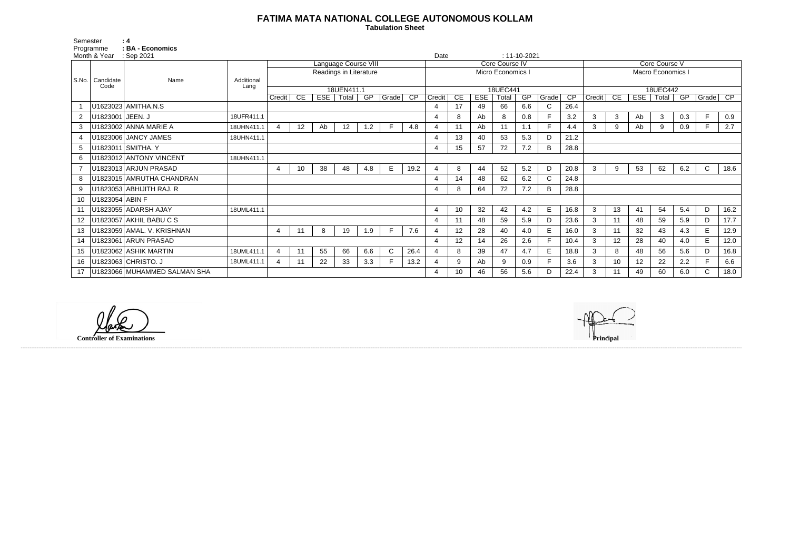## **FATIMA MATA NATIONAL COLLEGE AUTONOMOUS KOLLAM**

 **Tabulation Sheet** 

|                 | Programme        | : BA - Economics             |                    |                             |                 |     |       |     |              |      |                            |                 |            |       |     |              |                 |                 |                 |     |              |     |              |      |  |
|-----------------|------------------|------------------------------|--------------------|-----------------------------|-----------------|-----|-------|-----|--------------|------|----------------------------|-----------------|------------|-------|-----|--------------|-----------------|-----------------|-----------------|-----|--------------|-----|--------------|------|--|
| Month & Year    |                  | : Sep 2021                   |                    |                             |                 |     |       |     |              |      | Date<br>$: 11 - 10 - 2021$ |                 |            |       |     |              |                 |                 |                 |     |              |     |              |      |  |
|                 |                  |                              |                    | <b>Language Course VIII</b> |                 |     |       |     |              |      |                            | Core Course IV  |            |       |     |              |                 | Core Course V   |                 |     |              |     |              |      |  |
|                 |                  |                              |                    | Readings in Literature      |                 |     |       |     |              |      | Micro Economics            |                 |            |       |     |              |                 | Macro Economics |                 |     |              |     |              |      |  |
| S.No.           | Candidate        | Name                         | Additional<br>Lang |                             |                 |     |       |     |              |      |                            |                 |            |       |     |              |                 |                 |                 |     |              |     |              |      |  |
|                 | Code             |                              |                    | 18UEN411.1                  |                 |     |       |     |              |      | 18UEC441                   |                 |            |       |     |              |                 | 18UEC442        |                 |     |              |     |              |      |  |
|                 |                  |                              |                    | Credit                      | <b>CE</b>       | ESE | Total | GP  | $ $ Grade    | CP   | Credit                     | CE              | <b>ESE</b> | Total | GP  | Grade        | $\overline{CP}$ | Credit          | CE              | ESE | Total        | GP  | Grade        | CP   |  |
|                 |                  | U1623023 AMITHA.N.S          |                    |                             |                 |     |       |     |              |      |                            | 17              | 49         | 66    | 6.6 | C            | 26.4            |                 |                 |     |              |     |              |      |  |
|                 | U1823001 JEEN. J |                              | 18UFR411.1         |                             |                 |     |       |     |              |      |                            | 8               | Ab         | 8     | 0.8 |              | 3.2             | 3               | $\mathbf{3}$    | Ab  | $\mathbf{3}$ | 0.3 | F            | 0.9  |  |
| 3               |                  | U1823002 ANNA MARIE A        | 18UHN411.1         | Δ                           | 12              | Ab  | 12    | 1.2 |              | 4.8  | 4                          | 11              | Ab         | 11    | 1.1 | E            | 4.4             | 3               | 9               | Ab  | 9            | 0.9 |              | 2.7  |  |
|                 |                  | U1823006 JANCY JAMES         | 18UHN411.1         |                             |                 |     |       |     |              |      |                            | 13              | 40         | 53    | 5.3 | D            | 21.2            |                 |                 |     |              |     |              |      |  |
|                 |                  | U1823011 SMITHA. Y           |                    |                             |                 |     |       |     |              |      |                            | 15              | 57         | 72    | 7.2 | B            | 28.8            |                 |                 |     |              |     |              |      |  |
| 6               |                  | U1823012 ANTONY VINCENT      | 18UHN411.1         |                             |                 |     |       |     |              |      |                            |                 |            |       |     |              |                 |                 |                 |     |              |     |              |      |  |
|                 |                  | U1823013 ARJUN PRASAD        |                    | 4                           | 10 <sup>°</sup> | 38  | 48    | 4.8 | E            | 19.2 |                            | 8               | 44         | 52    | 5.2 | D            | 20.8            | 3               | 9               | 53  | 62           | 6.2 | $\mathsf{C}$ | 18.6 |  |
|                 |                  | U1823015 AMRUTHA CHANDRAN    |                    |                             |                 |     |       |     |              |      | Δ                          | 14              | 48         | 62    | 6.2 | $\mathsf{C}$ | 24.8            |                 |                 |     |              |     |              |      |  |
| 9               |                  | U1823053 ABHIJITH RAJ. R     |                    |                             |                 |     |       |     |              | 4    | 8                          | 64              | 72         | 7.2   | B   | 28.8         |                 |                 |                 |     |              |     |              |      |  |
| 10              | U1823054 ABIN F  |                              |                    |                             |                 |     |       |     |              |      |                            |                 |            |       |     |              |                 |                 |                 |     |              |     |              |      |  |
|                 |                  | U1823055 ADARSH AJAY         | 18UML411.1         |                             |                 |     |       |     |              |      | 4                          | 10 <sup>°</sup> | 32         | 42    | 4.2 | E            | 16.8            | 3               | 13              | 41  | 54           | 5.4 | D            | 16.2 |  |
| 12 <sup>2</sup> |                  | U1823057 AKHIL BABU C S      |                    |                             |                 |     |       |     |              |      | 4                          | 11              | 48         | 59    | 5.9 | D            | 23.6            | 3               | 11              | 48  | 59           | 5.9 | D            | 17.7 |  |
| 13              |                  | U1823059 AMAL. V. KRISHNAN   |                    | $\overline{4}$              | 11              | 8   | 19    | 1.9 |              | 7.6  |                            | 12              | 28         | 40    | 4.0 | E.           | 16.0            | 3               | 11              | 32  | 43           | 4.3 | E            | 12.9 |  |
| 14              |                  | U1823061 ARUN PRASAD         |                    |                             |                 |     |       |     |              |      |                            | 12              | 14         | 26    | 2.6 |              | 10.4            | 3               | 12              | 28  | 40           | 4.0 | E            | 12.0 |  |
| 15              |                  | U1823062 ASHIK MARTIN        | 18UML411.1         | $\overline{A}$              | 11              | 55  | 66    | 6.6 | $\mathsf{C}$ | 26.4 |                            | 8               | 39         | 47    | 4.7 | E            | 18.8            | 3               | 8               | 48  | 56           | 5.6 | D            | 16.8 |  |
| 16 <sup>1</sup> |                  | U1823063 CHRISTO. J          | 18UML411.1         |                             | 11              | 22  | 33    | 3.3 |              | 13.2 |                            | 9               | Ab         | 9     | 0.9 |              | 3.6             | 3               | 10 <sup>1</sup> | 12  | 22           | 2.2 |              | 6.6  |  |
| 17 <sup>2</sup> |                  | U1823066 MUHAMMED SALMAN SHA |                    |                             |                 |     |       |     |              |      |                            | 10              | 46         | 56    | 5.6 | D            | 22.4            | 3               | 11              | 49  | 60           | 6.0 | $\mathsf{C}$ | 18.0 |  |

Semester : 4

**Controller of Examinations Principal**

------------------------------------------------------------------------------------------------------------------------------------------------------------------------------------------------------------------------------------------------------------------------------------------------------------------------------------------------------------------------------------------------------------------------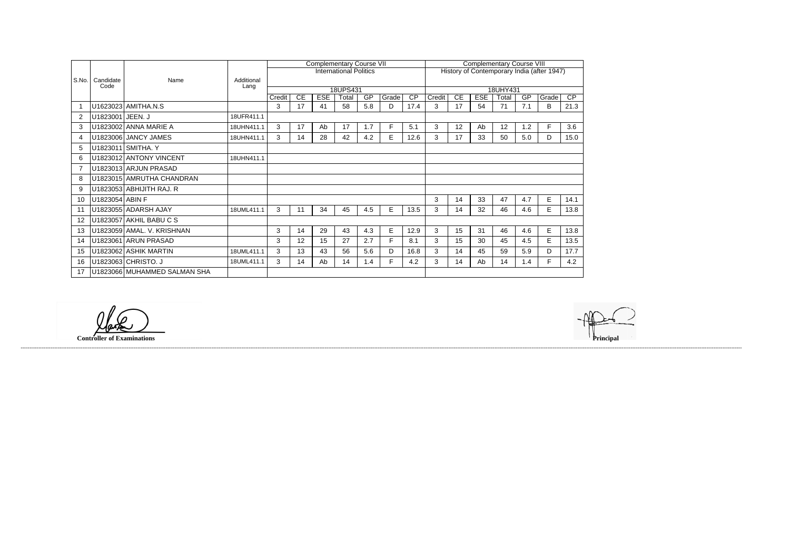| S.No.          |                   |                              |                    | <b>Complementary Course VII</b> |    |            |                               |     |       |                                            |        | <b>Complementary Course VIII</b> |            |       |     |       |      |  |  |
|----------------|-------------------|------------------------------|--------------------|---------------------------------|----|------------|-------------------------------|-----|-------|--------------------------------------------|--------|----------------------------------|------------|-------|-----|-------|------|--|--|
|                |                   |                              | Additional<br>Lang |                                 |    |            | <b>International Politics</b> |     |       | History of Contemporary India (after 1947) |        |                                  |            |       |     |       |      |  |  |
|                | Candidate<br>Code | Name                         |                    |                                 |    |            |                               |     |       |                                            |        |                                  |            |       |     |       |      |  |  |
|                |                   |                              |                    |                                 |    |            | 18UPS431                      |     |       | 18UHY431                                   |        |                                  |            |       |     |       |      |  |  |
|                |                   |                              |                    | Credit                          | CE | <b>ESE</b> | Total                         | GP  | Grade | $\overline{CP}$                            | Credit | CE                               | <b>ESE</b> | Total | GP  | Grade | CP   |  |  |
| -1             |                   | U1623023 AMITHA.N.S          |                    | 3                               | 17 | 41         | 58                            | 5.8 | D     | 17.4                                       | 3      | 17                               | 54         | 71    | 7.1 | B     | 21.3 |  |  |
| $\overline{2}$ | U1823001 JEEN. J  |                              | 18UFR411.1         |                                 |    |            |                               |     |       |                                            |        |                                  |            |       |     |       |      |  |  |
| 3              |                   | U1823002 ANNA MARIE A        | 18UHN411.1         | 3                               | 17 | Ab         | 17                            | 1.7 | F     | 5.1                                        | 3      | 12                               | Ab         | 12    | 1.2 | F     | 3.6  |  |  |
| 4              |                   | U1823006 JANCY JAMES         | 18UHN411.1         | 3                               | 14 | 28         | 42                            | 4.2 | E     | 12.6                                       | 3      | 17                               | 33         | 50    | 5.0 | D     | 15.0 |  |  |
| 5              |                   | U1823011 SMITHA. Y           |                    |                                 |    |            |                               |     |       |                                            |        |                                  |            |       |     |       |      |  |  |
| 6              |                   | U1823012 ANTONY VINCENT      | 18UHN411.1         |                                 |    |            |                               |     |       |                                            |        |                                  |            |       |     |       |      |  |  |
|                |                   | U1823013 ARJUN PRASAD        |                    |                                 |    |            |                               |     |       |                                            |        |                                  |            |       |     |       |      |  |  |
| -8             |                   | U1823015 AMRUTHA CHANDRAN    |                    |                                 |    |            |                               |     |       |                                            |        |                                  |            |       |     |       |      |  |  |
| 9              |                   | U1823053 ABHIJITH RAJ. R     |                    |                                 |    |            |                               |     |       |                                            |        |                                  |            |       |     |       |      |  |  |
| 10             | U1823054 ABIN F   |                              |                    |                                 |    |            |                               |     |       |                                            | 3      | 14                               | 33         | 47    | 4.7 | E     | 14.1 |  |  |
| 11             |                   | U1823055 ADARSH AJAY         | 18UML411.1         | 3                               | 11 | 34         | 45                            | 4.5 | E     | 13.5                                       | 3      | 14                               | 32         | 46    | 4.6 | E     | 13.8 |  |  |
| 12             |                   | U1823057 AKHIL BABU C S      |                    |                                 |    |            |                               |     |       |                                            |        |                                  |            |       |     |       |      |  |  |
| 13             |                   | U1823059 AMAL. V. KRISHNAN   |                    | 3                               | 14 | 29         | 43                            | 4.3 | E.    | 12.9                                       | 3      | 15                               | 31         | 46    | 4.6 | E     | 13.8 |  |  |
| 14             |                   | U1823061 ARUN PRASAD         |                    | 3                               | 12 | 15         | 27                            | 2.7 | F.    | 8.1                                        | 3      | 15                               | 30         | 45    | 4.5 | E     | 13.5 |  |  |
| 15             |                   | U1823062 ASHIK MARTIN        | 18UML411.1         | 3                               | 13 | 43         | 56                            | 5.6 | D     | 16.8                                       | 3      | 14                               | 45         | 59    | 5.9 | D     | 17.7 |  |  |
| 16             |                   | U1823063 CHRISTO. J          | 18UML411.1         | 3                               | 14 | Ab         | 14                            | 1.4 | F     | 4.2                                        | 3      | 14                               | Ab         | 14    | 1.4 | F     | 4.2  |  |  |
| 17             |                   | U1823066 MUHAMMED SALMAN SHA |                    |                                 |    |            |                               |     |       |                                            |        |                                  |            |       |     |       |      |  |  |

lak

**Controller of Examinations Principal**

------------------------------------------------------------------------------------------------------------------------------------------------------------------------------------------------------------------------------------------------------------------------------------------------------------------------------------------------------------------------------------------------------------------------